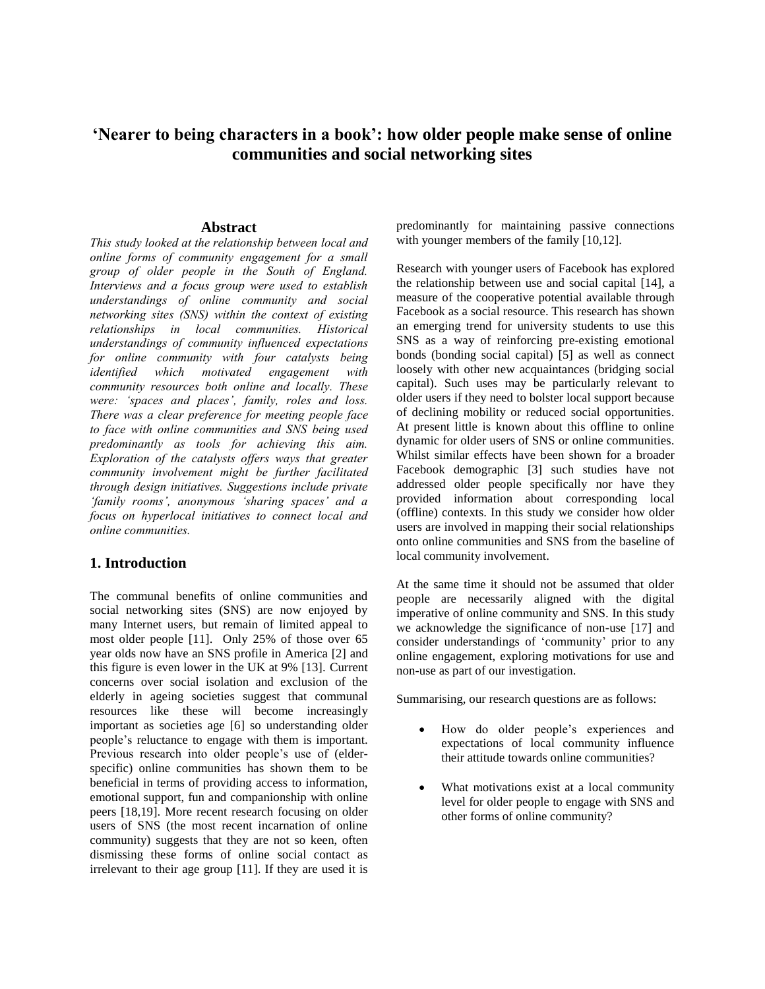# **'Nearer to being characters in a book': how older people make sense of online communities and social networking sites**

#### **Abstract**

*This study looked at the relationship between local and online forms of community engagement for a small group of older people in the South of England. Interviews and a focus group were used to establish understandings of online community and social networking sites (SNS) within the context of existing relationships in local communities. Historical understandings of community influenced expectations for online community with four catalysts being identified which motivated engagement with community resources both online and locally. These were: 'spaces and places', family, roles and loss. There was a clear preference for meeting people face to face with online communities and SNS being used predominantly as tools for achieving this aim. Exploration of the catalysts offers ways that greater community involvement might be further facilitated through design initiatives. Suggestions include private 'family rooms', anonymous 'sharing spaces' and a focus on hyperlocal initiatives to connect local and online communities.*

### **1. Introduction**

The communal benefits of online communities and social networking sites (SNS) are now enjoyed by many Internet users, but remain of limited appeal to most older people [11]. Only 25% of those over 65 year olds now have an SNS profile in America [2] and this figure is even lower in the UK at 9% [13]. Current concerns over social isolation and exclusion of the elderly in ageing societies suggest that communal resources like these will become increasingly important as societies age [6] so understanding older people's reluctance to engage with them is important. Previous research into older people's use of (elderspecific) online communities has shown them to be beneficial in terms of providing access to information, emotional support, fun and companionship with online peers [18,19]. More recent research focusing on older users of SNS (the most recent incarnation of online community) suggests that they are not so keen, often dismissing these forms of online social contact as irrelevant to their age group [11]. If they are used it is

predominantly for maintaining passive connections with younger members of the family [10,12].

Research with younger users of Facebook has explored the relationship between use and social capital [14], a measure of the cooperative potential available through Facebook as a social resource. This research has shown an emerging trend for university students to use this SNS as a way of reinforcing pre-existing emotional bonds (bonding social capital) [5] as well as connect loosely with other new acquaintances (bridging social capital). Such uses may be particularly relevant to older users if they need to bolster local support because of declining mobility or reduced social opportunities. At present little is known about this offline to online dynamic for older users of SNS or online communities. Whilst similar effects have been shown for a broader Facebook demographic [3] such studies have not addressed older people specifically nor have they provided information about corresponding local (offline) contexts. In this study we consider how older users are involved in mapping their social relationships onto online communities and SNS from the baseline of local community involvement.

At the same time it should not be assumed that older people are necessarily aligned with the digital imperative of online community and SNS. In this study we acknowledge the significance of non-use [17] and consider understandings of 'community' prior to any online engagement, exploring motivations for use and non-use as part of our investigation.

Summarising, our research questions are as follows:

- How do older people's experiences and expectations of local community influence their attitude towards online communities?
- What motivations exist at a local community level for older people to engage with SNS and other forms of online community?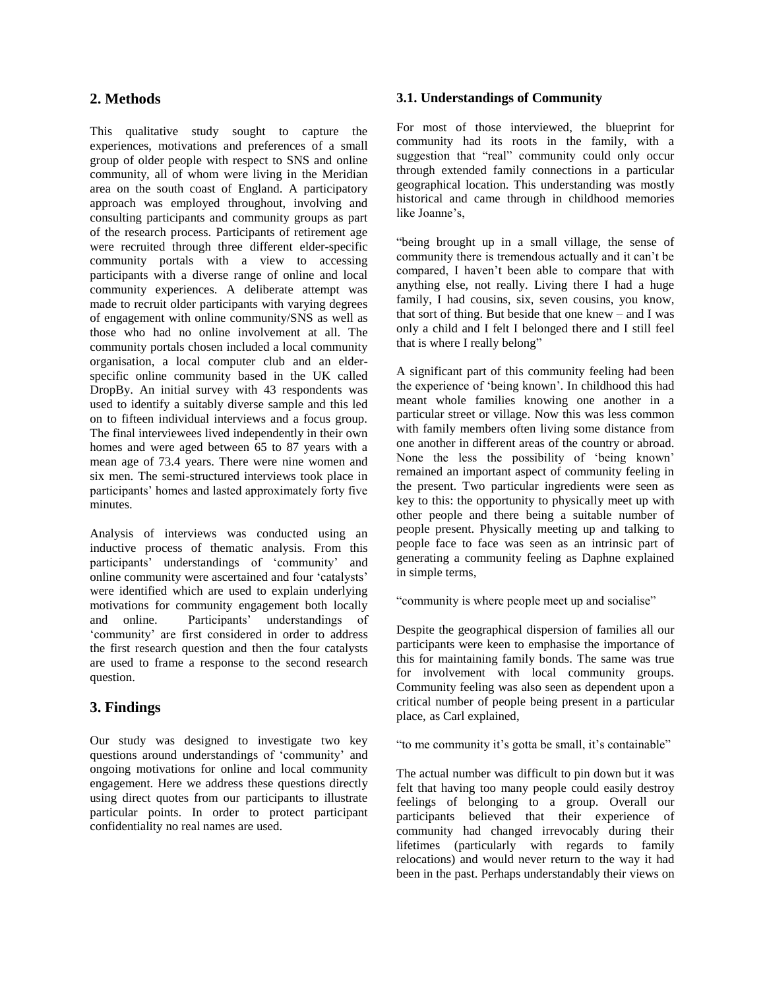# **2. Methods**

This qualitative study sought to capture the experiences, motivations and preferences of a small group of older people with respect to SNS and online community, all of whom were living in the Meridian area on the south coast of England. A participatory approach was employed throughout, involving and consulting participants and community groups as part of the research process. Participants of retirement age were recruited through three different elder-specific community portals with a view to accessing participants with a diverse range of online and local community experiences. A deliberate attempt was made to recruit older participants with varying degrees of engagement with online community/SNS as well as those who had no online involvement at all. The community portals chosen included a local community organisation, a local computer club and an elderspecific online community based in the UK called DropBy. An initial survey with 43 respondents was used to identify a suitably diverse sample and this led on to fifteen individual interviews and a focus group. The final interviewees lived independently in their own homes and were aged between 65 to 87 years with a mean age of 73.4 years. There were nine women and six men. The semi-structured interviews took place in participants' homes and lasted approximately forty five minutes.

Analysis of interviews was conducted using an inductive process of thematic analysis. From this participants' understandings of 'community' and online community were ascertained and four 'catalysts' were identified which are used to explain underlying motivations for community engagement both locally and online. Participants' understandings of 'community' are first considered in order to address the first research question and then the four catalysts are used to frame a response to the second research question.

# **3. Findings**

Our study was designed to investigate two key questions around understandings of 'community' and ongoing motivations for online and local community engagement. Here we address these questions directly using direct quotes from our participants to illustrate particular points. In order to protect participant confidentiality no real names are used.

### **3.1. Understandings of Community**

For most of those interviewed, the blueprint for community had its roots in the family, with a suggestion that "real" community could only occur through extended family connections in a particular geographical location. This understanding was mostly historical and came through in childhood memories like Joanne's,

"being brought up in a small village, the sense of community there is tremendous actually and it can't be compared, I haven't been able to compare that with anything else, not really. Living there I had a huge family, I had cousins, six, seven cousins, you know, that sort of thing. But beside that one knew – and I was only a child and I felt I belonged there and I still feel that is where I really belong"

A significant part of this community feeling had been the experience of 'being known'. In childhood this had meant whole families knowing one another in a particular street or village. Now this was less common with family members often living some distance from one another in different areas of the country or abroad. None the less the possibility of 'being known' remained an important aspect of community feeling in the present. Two particular ingredients were seen as key to this: the opportunity to physically meet up with other people and there being a suitable number of people present. Physically meeting up and talking to people face to face was seen as an intrinsic part of generating a community feeling as Daphne explained in simple terms,

"community is where people meet up and socialise"

Despite the geographical dispersion of families all our participants were keen to emphasise the importance of this for maintaining family bonds. The same was true for involvement with local community groups. Community feeling was also seen as dependent upon a critical number of people being present in a particular place, as Carl explained,

"to me community it's gotta be small, it's containable"

The actual number was difficult to pin down but it was felt that having too many people could easily destroy feelings of belonging to a group. Overall our participants believed that their experience of community had changed irrevocably during their lifetimes (particularly with regards to family relocations) and would never return to the way it had been in the past. Perhaps understandably their views on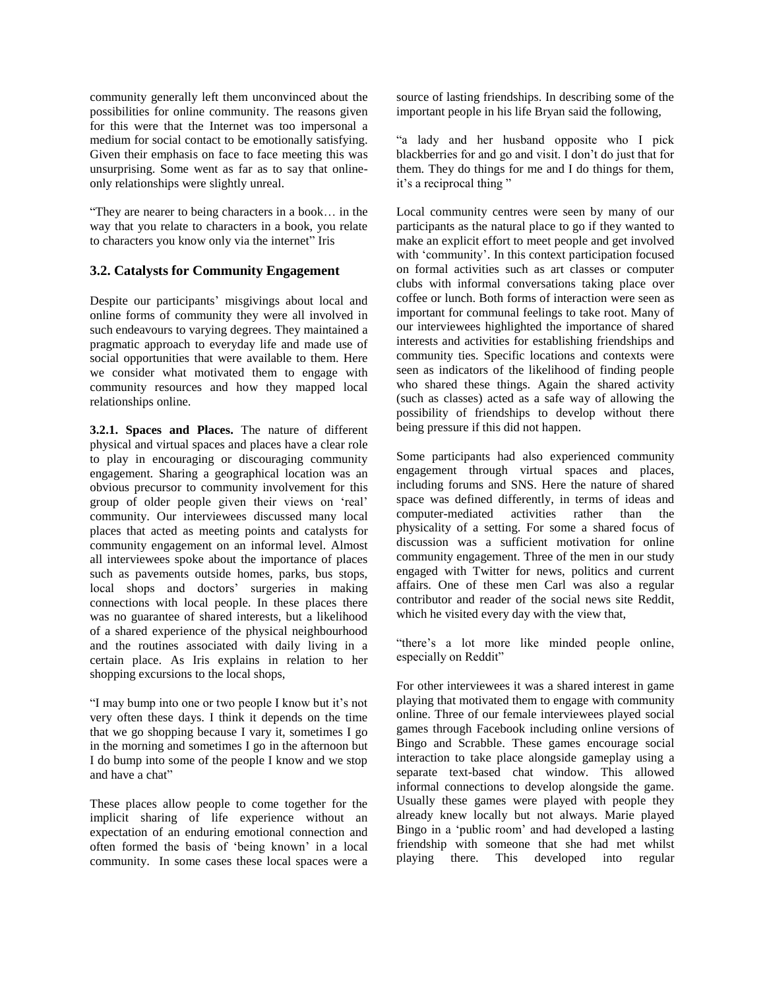community generally left them unconvinced about the possibilities for online community. The reasons given for this were that the Internet was too impersonal a medium for social contact to be emotionally satisfying. Given their emphasis on face to face meeting this was unsurprising. Some went as far as to say that onlineonly relationships were slightly unreal.

"They are nearer to being characters in a book… in the way that you relate to characters in a book, you relate to characters you know only via the internet" Iris

### **3.2. Catalysts for Community Engagement**

Despite our participants' misgivings about local and online forms of community they were all involved in such endeavours to varying degrees. They maintained a pragmatic approach to everyday life and made use of social opportunities that were available to them. Here we consider what motivated them to engage with community resources and how they mapped local relationships online.

**3.2.1. Spaces and Places.** The nature of different physical and virtual spaces and places have a clear role to play in encouraging or discouraging community engagement. Sharing a geographical location was an obvious precursor to community involvement for this group of older people given their views on 'real' community. Our interviewees discussed many local places that acted as meeting points and catalysts for community engagement on an informal level. Almost all interviewees spoke about the importance of places such as pavements outside homes, parks, bus stops, local shops and doctors' surgeries in making connections with local people. In these places there was no guarantee of shared interests, but a likelihood of a shared experience of the physical neighbourhood and the routines associated with daily living in a certain place. As Iris explains in relation to her shopping excursions to the local shops,

"I may bump into one or two people I know but it's not very often these days. I think it depends on the time that we go shopping because I vary it, sometimes I go in the morning and sometimes I go in the afternoon but I do bump into some of the people I know and we stop and have a chat"

These places allow people to come together for the implicit sharing of life experience without an expectation of an enduring emotional connection and often formed the basis of 'being known' in a local community. In some cases these local spaces were a

source of lasting friendships. In describing some of the important people in his life Bryan said the following,

"a lady and her husband opposite who I pick blackberries for and go and visit. I don't do just that for them. They do things for me and I do things for them, it's a reciprocal thing "

Local community centres were seen by many of our participants as the natural place to go if they wanted to make an explicit effort to meet people and get involved with 'community'. In this context participation focused on formal activities such as art classes or computer clubs with informal conversations taking place over coffee or lunch. Both forms of interaction were seen as important for communal feelings to take root. Many of our interviewees highlighted the importance of shared interests and activities for establishing friendships and community ties. Specific locations and contexts were seen as indicators of the likelihood of finding people who shared these things. Again the shared activity (such as classes) acted as a safe way of allowing the possibility of friendships to develop without there being pressure if this did not happen.

Some participants had also experienced community engagement through virtual spaces and places, including forums and SNS. Here the nature of shared space was defined differently, in terms of ideas and computer-mediated activities rather than the physicality of a setting. For some a shared focus of discussion was a sufficient motivation for online community engagement. Three of the men in our study engaged with Twitter for news, politics and current affairs. One of these men Carl was also a regular contributor and reader of the social news site Reddit, which he visited every day with the view that,

"there's a lot more like minded people online, especially on Reddit"

For other interviewees it was a shared interest in game playing that motivated them to engage with community online. Three of our female interviewees played social games through Facebook including online versions of Bingo and Scrabble. These games encourage social interaction to take place alongside gameplay using a separate text-based chat window. This allowed informal connections to develop alongside the game. Usually these games were played with people they already knew locally but not always. Marie played Bingo in a 'public room' and had developed a lasting friendship with someone that she had met whilst playing there. This developed into regular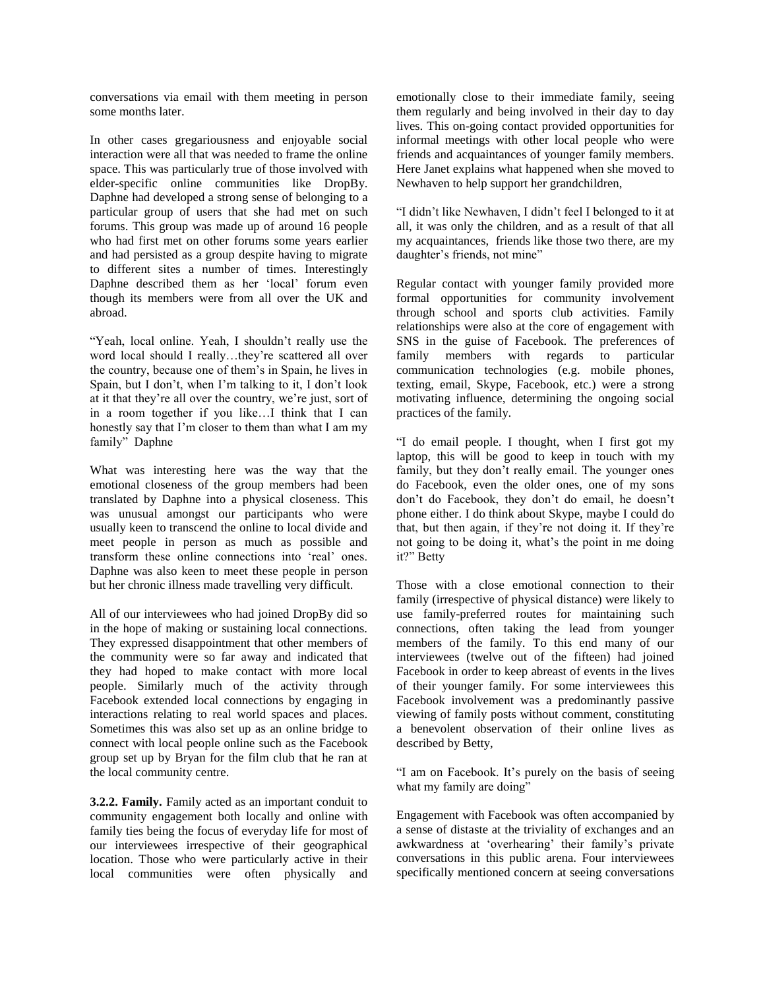conversations via email with them meeting in person some months later.

In other cases gregariousness and enjoyable social interaction were all that was needed to frame the online space. This was particularly true of those involved with elder-specific online communities like DropBy. Daphne had developed a strong sense of belonging to a particular group of users that she had met on such forums. This group was made up of around 16 people who had first met on other forums some years earlier and had persisted as a group despite having to migrate to different sites a number of times. Interestingly Daphne described them as her 'local' forum even though its members were from all over the UK and abroad.

"Yeah, local online. Yeah, I shouldn't really use the word local should I really…they're scattered all over the country, because one of them's in Spain, he lives in Spain, but I don't, when I'm talking to it, I don't look at it that they're all over the country, we're just, sort of in a room together if you like…I think that I can honestly say that I'm closer to them than what I am my family" Daphne

What was interesting here was the way that the emotional closeness of the group members had been translated by Daphne into a physical closeness. This was unusual amongst our participants who were usually keen to transcend the online to local divide and meet people in person as much as possible and transform these online connections into 'real' ones. Daphne was also keen to meet these people in person but her chronic illness made travelling very difficult.

All of our interviewees who had joined DropBy did so in the hope of making or sustaining local connections. They expressed disappointment that other members of the community were so far away and indicated that they had hoped to make contact with more local people. Similarly much of the activity through Facebook extended local connections by engaging in interactions relating to real world spaces and places. Sometimes this was also set up as an online bridge to connect with local people online such as the Facebook group set up by Bryan for the film club that he ran at the local community centre.

**3.2.2. Family.** Family acted as an important conduit to community engagement both locally and online with family ties being the focus of everyday life for most of our interviewees irrespective of their geographical location. Those who were particularly active in their local communities were often physically and emotionally close to their immediate family, seeing them regularly and being involved in their day to day lives. This on-going contact provided opportunities for informal meetings with other local people who were friends and acquaintances of younger family members. Here Janet explains what happened when she moved to Newhaven to help support her grandchildren,

"I didn't like Newhaven, I didn't feel I belonged to it at all, it was only the children, and as a result of that all my acquaintances, friends like those two there, are my daughter's friends, not mine"

Regular contact with younger family provided more formal opportunities for community involvement through school and sports club activities. Family relationships were also at the core of engagement with SNS in the guise of Facebook. The preferences of family members with regards to particular communication technologies (e.g. mobile phones, texting, email, Skype, Facebook, etc.) were a strong motivating influence, determining the ongoing social practices of the family.

"I do email people. I thought, when I first got my laptop, this will be good to keep in touch with my family, but they don't really email. The younger ones do Facebook, even the older ones, one of my sons don't do Facebook, they don't do email, he doesn't phone either. I do think about Skype, maybe I could do that, but then again, if they're not doing it. If they're not going to be doing it, what's the point in me doing it?" Betty

Those with a close emotional connection to their family (irrespective of physical distance) were likely to use family-preferred routes for maintaining such connections, often taking the lead from younger members of the family. To this end many of our interviewees (twelve out of the fifteen) had joined Facebook in order to keep abreast of events in the lives of their younger family. For some interviewees this Facebook involvement was a predominantly passive viewing of family posts without comment, constituting a benevolent observation of their online lives as described by Betty,

"I am on Facebook. It's purely on the basis of seeing what my family are doing"

Engagement with Facebook was often accompanied by a sense of distaste at the triviality of exchanges and an awkwardness at 'overhearing' their family's private conversations in this public arena. Four interviewees specifically mentioned concern at seeing conversations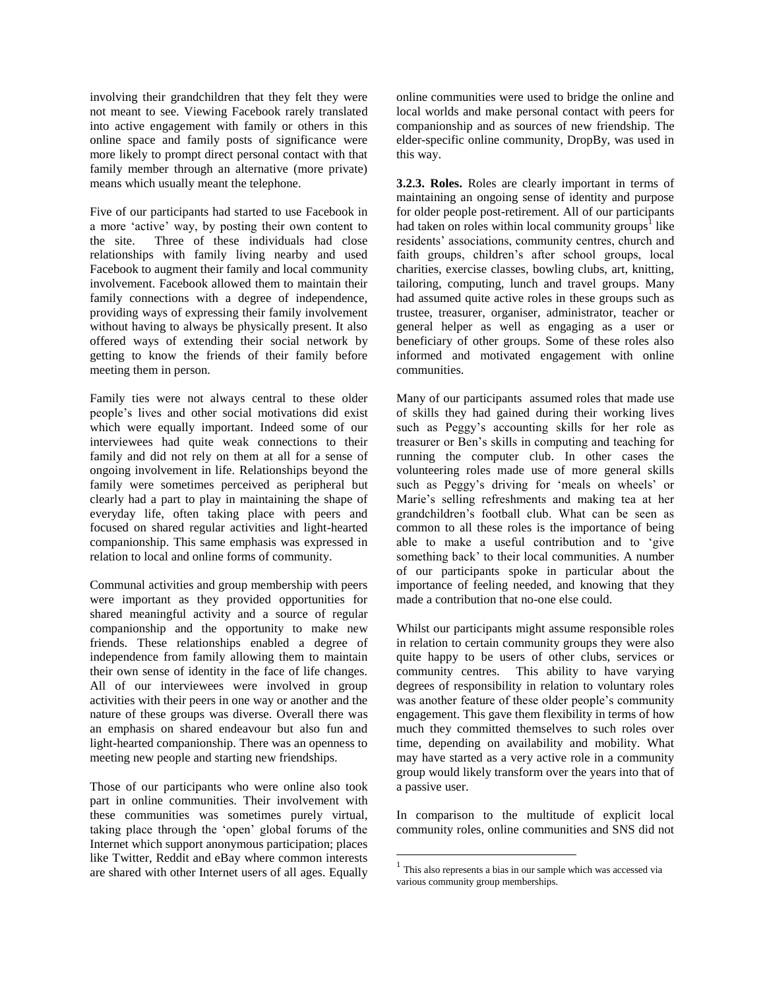involving their grandchildren that they felt they were not meant to see. Viewing Facebook rarely translated into active engagement with family or others in this online space and family posts of significance were more likely to prompt direct personal contact with that family member through an alternative (more private) means which usually meant the telephone.

Five of our participants had started to use Facebook in a more 'active' way, by posting their own content to the site. Three of these individuals had close relationships with family living nearby and used Facebook to augment their family and local community involvement. Facebook allowed them to maintain their family connections with a degree of independence, providing ways of expressing their family involvement without having to always be physically present. It also offered ways of extending their social network by getting to know the friends of their family before meeting them in person.

Family ties were not always central to these older people's lives and other social motivations did exist which were equally important. Indeed some of our interviewees had quite weak connections to their family and did not rely on them at all for a sense of ongoing involvement in life. Relationships beyond the family were sometimes perceived as peripheral but clearly had a part to play in maintaining the shape of everyday life, often taking place with peers and focused on shared regular activities and light-hearted companionship. This same emphasis was expressed in relation to local and online forms of community.

Communal activities and group membership with peers were important as they provided opportunities for shared meaningful activity and a source of regular companionship and the opportunity to make new friends. These relationships enabled a degree of independence from family allowing them to maintain their own sense of identity in the face of life changes. All of our interviewees were involved in group activities with their peers in one way or another and the nature of these groups was diverse. Overall there was an emphasis on shared endeavour but also fun and light-hearted companionship. There was an openness to meeting new people and starting new friendships.

Those of our participants who were online also took part in online communities. Their involvement with these communities was sometimes purely virtual, taking place through the 'open' global forums of the Internet which support anonymous participation; places like Twitter, Reddit and eBay where common interests are shared with other Internet users of all ages. Equally

online communities were used to bridge the online and local worlds and make personal contact with peers for companionship and as sources of new friendship. The elder-specific online community, DropBy, was used in this way.

**3.2.3. Roles.** Roles are clearly important in terms of maintaining an ongoing sense of identity and purpose for older people post-retirement. All of our participants had taken on roles within local community groups<sup>1</sup> like residents' associations, community centres, church and faith groups, children's after school groups, local charities, exercise classes, bowling clubs, art, knitting, tailoring, computing, lunch and travel groups. Many had assumed quite active roles in these groups such as trustee, treasurer, organiser, administrator, teacher or general helper as well as engaging as a user or beneficiary of other groups. Some of these roles also informed and motivated engagement with online communities.

Many of our participants assumed roles that made use of skills they had gained during their working lives such as Peggy's accounting skills for her role as treasurer or Ben's skills in computing and teaching for running the computer club. In other cases the volunteering roles made use of more general skills such as Peggy's driving for 'meals on wheels' or Marie's selling refreshments and making tea at her grandchildren's football club. What can be seen as common to all these roles is the importance of being able to make a useful contribution and to 'give something back' to their local communities. A number of our participants spoke in particular about the importance of feeling needed, and knowing that they made a contribution that no-one else could.

Whilst our participants might assume responsible roles in relation to certain community groups they were also quite happy to be users of other clubs, services or community centres. This ability to have varying degrees of responsibility in relation to voluntary roles was another feature of these older people's community engagement. This gave them flexibility in terms of how much they committed themselves to such roles over time, depending on availability and mobility. What may have started as a very active role in a community group would likely transform over the years into that of a passive user.

In comparison to the multitude of explicit local community roles, online communities and SNS did not

 $\overline{a}$ 

<sup>&</sup>lt;sup>1</sup> This also represents a bias in our sample which was accessed via various community group memberships.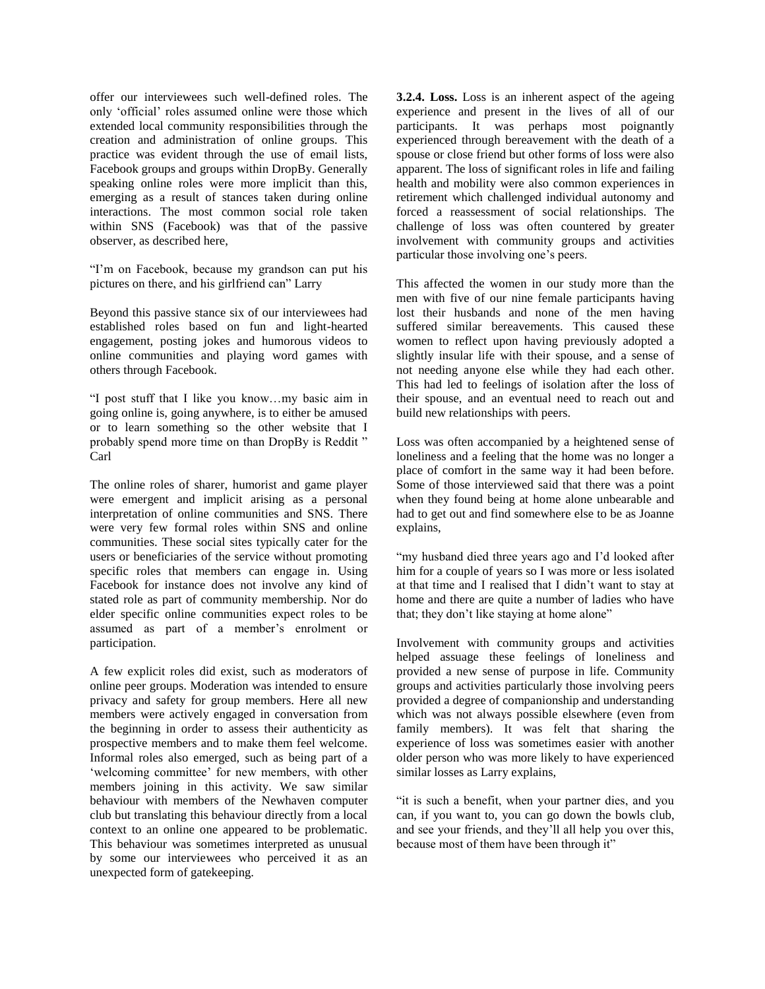offer our interviewees such well-defined roles. The only 'official' roles assumed online were those which extended local community responsibilities through the creation and administration of online groups. This practice was evident through the use of email lists, Facebook groups and groups within DropBy. Generally speaking online roles were more implicit than this, emerging as a result of stances taken during online interactions. The most common social role taken within SNS (Facebook) was that of the passive observer, as described here,

"I'm on Facebook, because my grandson can put his pictures on there, and his girlfriend can" Larry

Beyond this passive stance six of our interviewees had established roles based on fun and light-hearted engagement, posting jokes and humorous videos to online communities and playing word games with others through Facebook.

"I post stuff that I like you know…my basic aim in going online is, going anywhere, is to either be amused or to learn something so the other website that I probably spend more time on than DropBy is Reddit " Carl

The online roles of sharer, humorist and game player were emergent and implicit arising as a personal interpretation of online communities and SNS. There were very few formal roles within SNS and online communities. These social sites typically cater for the users or beneficiaries of the service without promoting specific roles that members can engage in. Using Facebook for instance does not involve any kind of stated role as part of community membership. Nor do elder specific online communities expect roles to be assumed as part of a member's enrolment or participation.

A few explicit roles did exist, such as moderators of online peer groups. Moderation was intended to ensure privacy and safety for group members. Here all new members were actively engaged in conversation from the beginning in order to assess their authenticity as prospective members and to make them feel welcome. Informal roles also emerged, such as being part of a 'welcoming committee' for new members, with other members joining in this activity. We saw similar behaviour with members of the Newhaven computer club but translating this behaviour directly from a local context to an online one appeared to be problematic. This behaviour was sometimes interpreted as unusual by some our interviewees who perceived it as an unexpected form of gatekeeping.

**3.2.4. Loss.** Loss is an inherent aspect of the ageing experience and present in the lives of all of our participants. It was perhaps most poignantly experienced through bereavement with the death of a spouse or close friend but other forms of loss were also apparent. The loss of significant roles in life and failing health and mobility were also common experiences in retirement which challenged individual autonomy and forced a reassessment of social relationships. The challenge of loss was often countered by greater involvement with community groups and activities particular those involving one's peers.

This affected the women in our study more than the men with five of our nine female participants having lost their husbands and none of the men having suffered similar bereavements. This caused these women to reflect upon having previously adopted a slightly insular life with their spouse, and a sense of not needing anyone else while they had each other. This had led to feelings of isolation after the loss of their spouse, and an eventual need to reach out and build new relationships with peers.

Loss was often accompanied by a heightened sense of loneliness and a feeling that the home was no longer a place of comfort in the same way it had been before. Some of those interviewed said that there was a point when they found being at home alone unbearable and had to get out and find somewhere else to be as Joanne explains,

"my husband died three years ago and I'd looked after him for a couple of years so I was more or less isolated at that time and I realised that I didn't want to stay at home and there are quite a number of ladies who have that; they don't like staying at home alone"

Involvement with community groups and activities helped assuage these feelings of loneliness and provided a new sense of purpose in life. Community groups and activities particularly those involving peers provided a degree of companionship and understanding which was not always possible elsewhere (even from family members). It was felt that sharing the experience of loss was sometimes easier with another older person who was more likely to have experienced similar losses as Larry explains,

"it is such a benefit, when your partner dies, and you can, if you want to, you can go down the bowls club, and see your friends, and they'll all help you over this, because most of them have been through it"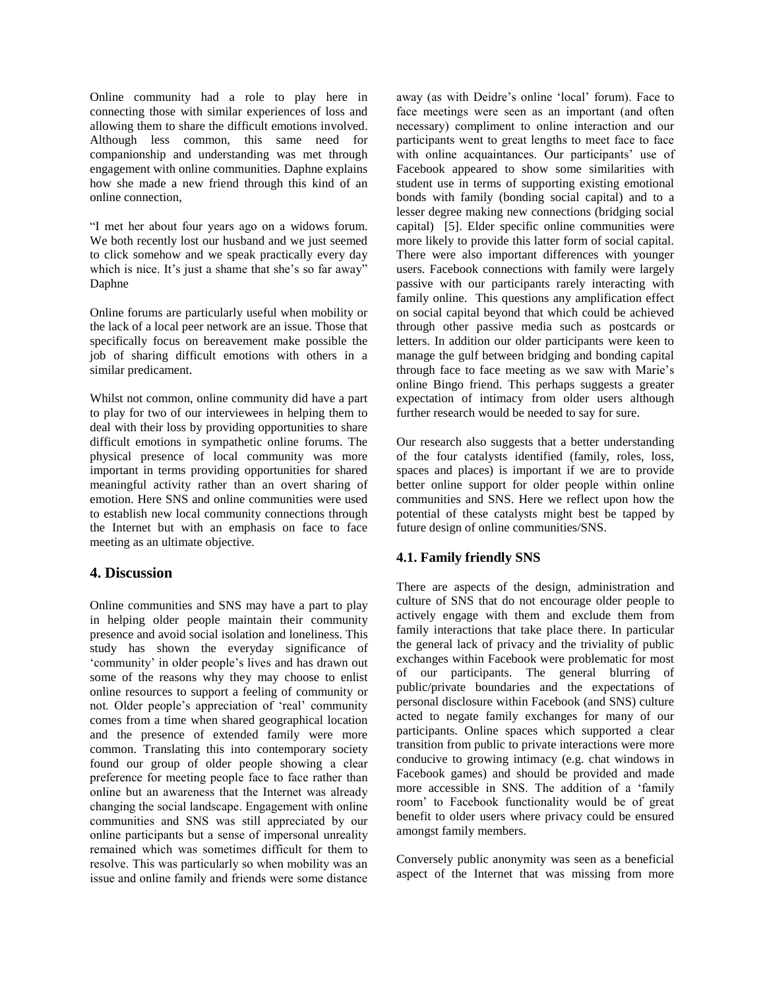Online community had a role to play here in connecting those with similar experiences of loss and allowing them to share the difficult emotions involved. Although less common, this same need for companionship and understanding was met through engagement with online communities. Daphne explains how she made a new friend through this kind of an online connection,

"I met her about four years ago on a widows forum. We both recently lost our husband and we just seemed to click somehow and we speak practically every day which is nice. It's just a shame that she's so far away" Daphne

Online forums are particularly useful when mobility or the lack of a local peer network are an issue. Those that specifically focus on bereavement make possible the job of sharing difficult emotions with others in a similar predicament.

Whilst not common, online community did have a part to play for two of our interviewees in helping them to deal with their loss by providing opportunities to share difficult emotions in sympathetic online forums. The physical presence of local community was more important in terms providing opportunities for shared meaningful activity rather than an overt sharing of emotion. Here SNS and online communities were used to establish new local community connections through the Internet but with an emphasis on face to face meeting as an ultimate objective.

#### **4. Discussion**

Online communities and SNS may have a part to play in helping older people maintain their community presence and avoid social isolation and loneliness. This study has shown the everyday significance of 'community' in older people's lives and has drawn out some of the reasons why they may choose to enlist online resources to support a feeling of community or not. Older people's appreciation of 'real' community comes from a time when shared geographical location and the presence of extended family were more common. Translating this into contemporary society found our group of older people showing a clear preference for meeting people face to face rather than online but an awareness that the Internet was already changing the social landscape. Engagement with online communities and SNS was still appreciated by our online participants but a sense of impersonal unreality remained which was sometimes difficult for them to resolve. This was particularly so when mobility was an issue and online family and friends were some distance

away (as with Deidre's online 'local' forum). Face to face meetings were seen as an important (and often necessary) compliment to online interaction and our participants went to great lengths to meet face to face with online acquaintances. Our participants' use of Facebook appeared to show some similarities with student use in terms of supporting existing emotional bonds with family (bonding social capital) and to a lesser degree making new connections (bridging social capital) [5]. Elder specific online communities were more likely to provide this latter form of social capital. There were also important differences with younger users. Facebook connections with family were largely passive with our participants rarely interacting with family online. This questions any amplification effect on social capital beyond that which could be achieved through other passive media such as postcards or letters. In addition our older participants were keen to manage the gulf between bridging and bonding capital through face to face meeting as we saw with Marie's online Bingo friend. This perhaps suggests a greater expectation of intimacy from older users although further research would be needed to say for sure.

Our research also suggests that a better understanding of the four catalysts identified (family, roles, loss, spaces and places) is important if we are to provide better online support for older people within online communities and SNS. Here we reflect upon how the potential of these catalysts might best be tapped by future design of online communities/SNS.

# **4.1. Family friendly SNS**

There are aspects of the design, administration and culture of SNS that do not encourage older people to actively engage with them and exclude them from family interactions that take place there. In particular the general lack of privacy and the triviality of public exchanges within Facebook were problematic for most of our participants. The general blurring of public/private boundaries and the expectations of personal disclosure within Facebook (and SNS) culture acted to negate family exchanges for many of our participants. Online spaces which supported a clear transition from public to private interactions were more conducive to growing intimacy (e.g. chat windows in Facebook games) and should be provided and made more accessible in SNS. The addition of a 'family room' to Facebook functionality would be of great benefit to older users where privacy could be ensured amongst family members.

Conversely public anonymity was seen as a beneficial aspect of the Internet that was missing from more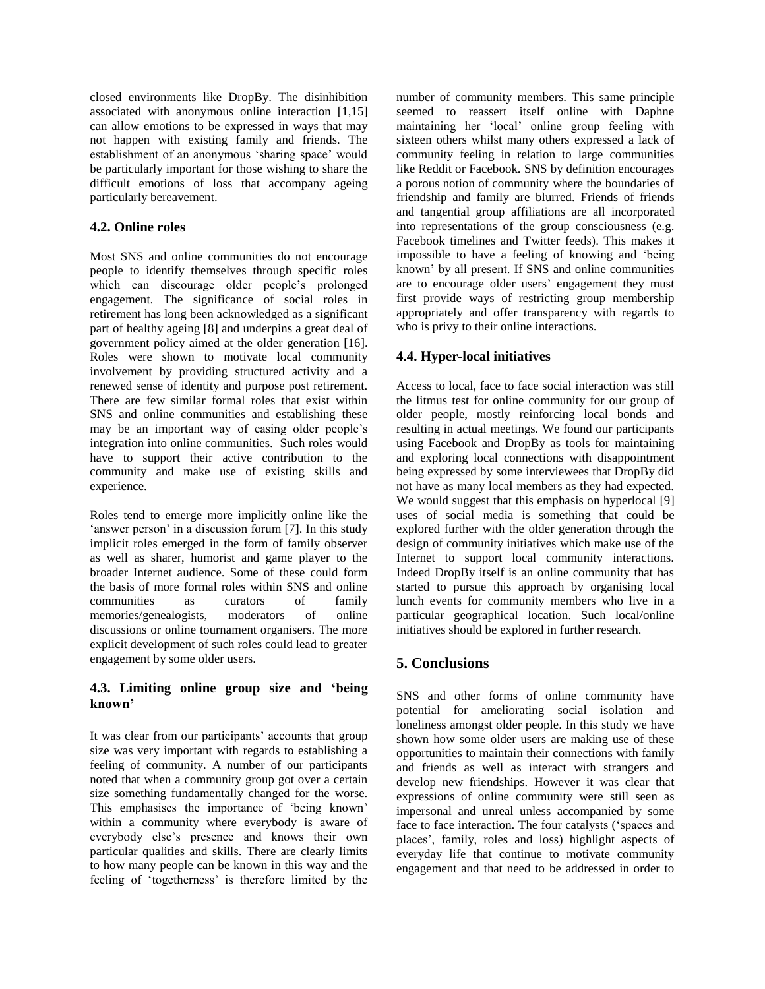closed environments like DropBy. The disinhibition associated with anonymous online interaction [1,15] can allow emotions to be expressed in ways that may not happen with existing family and friends. The establishment of an anonymous 'sharing space' would be particularly important for those wishing to share the difficult emotions of loss that accompany ageing particularly bereavement.

### **4.2. Online roles**

Most SNS and online communities do not encourage people to identify themselves through specific roles which can discourage older people's prolonged engagement. The significance of social roles in retirement has long been acknowledged as a significant part of healthy ageing [8] and underpins a great deal of government policy aimed at the older generation [16]. Roles were shown to motivate local community involvement by providing structured activity and a renewed sense of identity and purpose post retirement. There are few similar formal roles that exist within SNS and online communities and establishing these may be an important way of easing older people's integration into online communities. Such roles would have to support their active contribution to the community and make use of existing skills and experience.

Roles tend to emerge more implicitly online like the 'answer person' in a discussion forum [7]. In this study implicit roles emerged in the form of family observer as well as sharer, humorist and game player to the broader Internet audience. Some of these could form the basis of more formal roles within SNS and online communities as curators of family memories/genealogists, moderators of online discussions or online tournament organisers. The more explicit development of such roles could lead to greater engagement by some older users.

# **4.3. Limiting online group size and 'being known'**

It was clear from our participants' accounts that group size was very important with regards to establishing a feeling of community. A number of our participants noted that when a community group got over a certain size something fundamentally changed for the worse. This emphasises the importance of 'being known' within a community where everybody is aware of everybody else's presence and knows their own particular qualities and skills. There are clearly limits to how many people can be known in this way and the feeling of 'togetherness' is therefore limited by the

number of community members. This same principle seemed to reassert itself online with Daphne maintaining her 'local' online group feeling with sixteen others whilst many others expressed a lack of community feeling in relation to large communities like Reddit or Facebook. SNS by definition encourages a porous notion of community where the boundaries of friendship and family are blurred. Friends of friends and tangential group affiliations are all incorporated into representations of the group consciousness (e.g. Facebook timelines and Twitter feeds). This makes it impossible to have a feeling of knowing and 'being known' by all present. If SNS and online communities are to encourage older users' engagement they must first provide ways of restricting group membership appropriately and offer transparency with regards to who is privy to their online interactions.

# **4.4. Hyper-local initiatives**

Access to local, face to face social interaction was still the litmus test for online community for our group of older people, mostly reinforcing local bonds and resulting in actual meetings. We found our participants using Facebook and DropBy as tools for maintaining and exploring local connections with disappointment being expressed by some interviewees that DropBy did not have as many local members as they had expected. We would suggest that this emphasis on hyperlocal [9] uses of social media is something that could be explored further with the older generation through the design of community initiatives which make use of the Internet to support local community interactions. Indeed DropBy itself is an online community that has started to pursue this approach by organising local lunch events for community members who live in a particular geographical location. Such local/online initiatives should be explored in further research.

# **5. Conclusions**

SNS and other forms of online community have potential for ameliorating social isolation and loneliness amongst older people. In this study we have shown how some older users are making use of these opportunities to maintain their connections with family and friends as well as interact with strangers and develop new friendships. However it was clear that expressions of online community were still seen as impersonal and unreal unless accompanied by some face to face interaction. The four catalysts ('spaces and places', family, roles and loss) highlight aspects of everyday life that continue to motivate community engagement and that need to be addressed in order to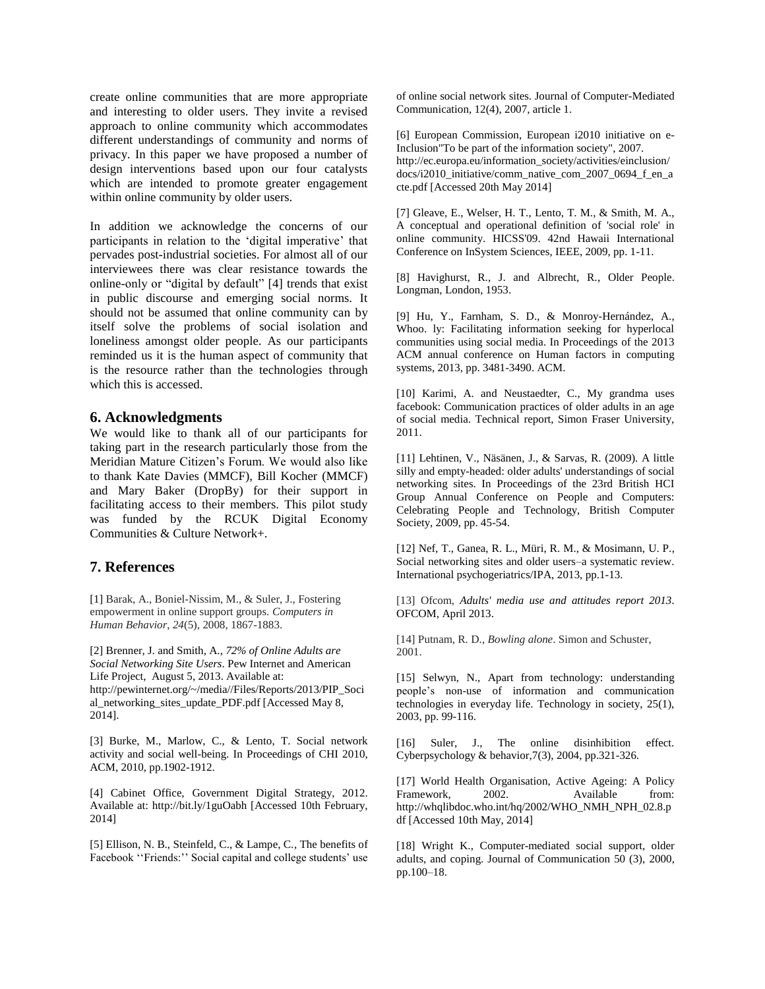create online communities that are more appropriate and interesting to older users. They invite a revised approach to online community which accommodates different understandings of community and norms of privacy. In this paper we have proposed a number of design interventions based upon our four catalysts which are intended to promote greater engagement within online community by older users.

In addition we acknowledge the concerns of our participants in relation to the 'digital imperative' that pervades post-industrial societies. For almost all of our interviewees there was clear resistance towards the online-only or "digital by default" [4] trends that exist in public discourse and emerging social norms. It should not be assumed that online community can by itself solve the problems of social isolation and loneliness amongst older people. As our participants reminded us it is the human aspect of community that is the resource rather than the technologies through which this is accessed.

#### **6. Acknowledgments**

We would like to thank all of our participants for taking part in the research particularly those from the Meridian Mature Citizen's Forum. We would also like to thank Kate Davies (MMCF), Bill Kocher (MMCF) and Mary Baker (DropBy) for their support in facilitating access to their members. This pilot study was funded by the RCUK Digital Economy Communities & Culture Network+.

#### **7. References**

[1] Barak, A., Boniel-Nissim, M., & Suler, J., Fostering empowerment in online support groups. *Computers in Human Behavior*, *24*(5), 2008, 1867-1883.

[2] Brenner, J. and Smith, A., *72% of Online Adults are Social Networking Site Users*. Pew Internet and American Life Project, August 5, 2013. Available at: http://pewinternet.org/~/media//Files/Reports/2013/PIP\_Soci al\_networking\_sites\_update\_PDF.pdf [Accessed May 8, 2014].

[3] Burke, M., Marlow, C., & Lento, T. Social network activity and social well-being. In Proceedings of CHI 2010, ACM, 2010, pp.1902-1912.

[4] Cabinet Office, Government Digital Strategy, 2012. Available at: http://bit.ly/1guOabh [Accessed 10th February, 2014]

[5] Ellison, N. B., Steinfeld, C., & Lampe, C., The benefits of Facebook ''Friends:'' Social capital and college students' use

of online social network sites. Journal of Computer-Mediated Communication, 12(4), 2007, article 1.

[6] European Commission, European i2010 initiative on e-Inclusion"To be part of the information society", 2007. http://ec.europa.eu/information\_society/activities/einclusion/ docs/i2010\_initiative/comm\_native\_com\_2007\_0694\_f\_en\_a cte.pdf [Accessed 20th May 2014]

[7] Gleave, E., Welser, H. T., Lento, T. M., & Smith, M. A., A conceptual and operational definition of 'social role' in online community. HICSS'09. 42nd Hawaii International Conference on InSystem Sciences, IEEE, 2009, pp. 1-11.

[8] Havighurst, R., J. and Albrecht, R., Older People. Longman, London, 1953.

[9] Hu, Y., Farnham, S. D., & Monroy-Hernández, A., Whoo. ly: Facilitating information seeking for hyperlocal communities using social media. In Proceedings of the 2013 ACM annual conference on Human factors in computing systems, 2013, pp. 3481-3490. ACM.

[10] Karimi, A. and Neustaedter, C., My grandma uses facebook: Communication practices of older adults in an age of social media. Technical report, Simon Fraser University, 2011.

[11] Lehtinen, V., Näsänen, J., & Sarvas, R. (2009). A little silly and empty-headed: older adults' understandings of social networking sites. In Proceedings of the 23rd British HCI Group Annual Conference on People and Computers: Celebrating People and Technology, British Computer Society, 2009, pp. 45-54.

[12] Nef, T., Ganea, R. L., Müri, R. M., & Mosimann, U. P., Social networking sites and older users–a systematic review. International psychogeriatrics/IPA, 2013, pp.1-13.

[13] Ofcom, *[Adults' media use and attitudes report 2013.](http://www.google.co.uk/url?sa=t&rct=j&q=&esrc=s&source=web&cd=1&sqi=2&ved=0CC8QFjAA&url=http%3A%2F%2Fstakeholders.ofcom.org.uk%2Fmarket-data-research%2Fmedia-literacy%2Fmedia-lit-research%2Fadults-2013%2F&ei=ZhhUUrOlL8iVhQfD-YHYCg&usg=AFQjCNFk23e2bLpl2KfRWDFw8d__v0P2cw&sig2=qMKIKze3swmdzgpW2KJokw&bvm=bv.53537100,d.d2k&cad=rja)*  OFCOM, April 2013.

[14] Putnam, R. D., *Bowling alone*. Simon and Schuster, 2001.

[15] Selwyn, N., Apart from technology: understanding people's non-use of information and communication technologies in everyday life. Technology in society, 25(1), 2003, pp. 99-116.

[16] Suler, J., The online disinhibition effect. Cyberpsychology & behavior,7(3), 2004, pp.321-326.

[17] World Health Organisation, Active Ageing: A Policy Framework, 2002. Available from: http://whqlibdoc.who.int/hq/2002/WHO\_NMH\_NPH\_02.8.p df [Accessed 10th May, 2014]

[18] Wright K., Computer-mediated social support, older adults, and coping. Journal of Communication 50 (3), 2000, pp.100–18.